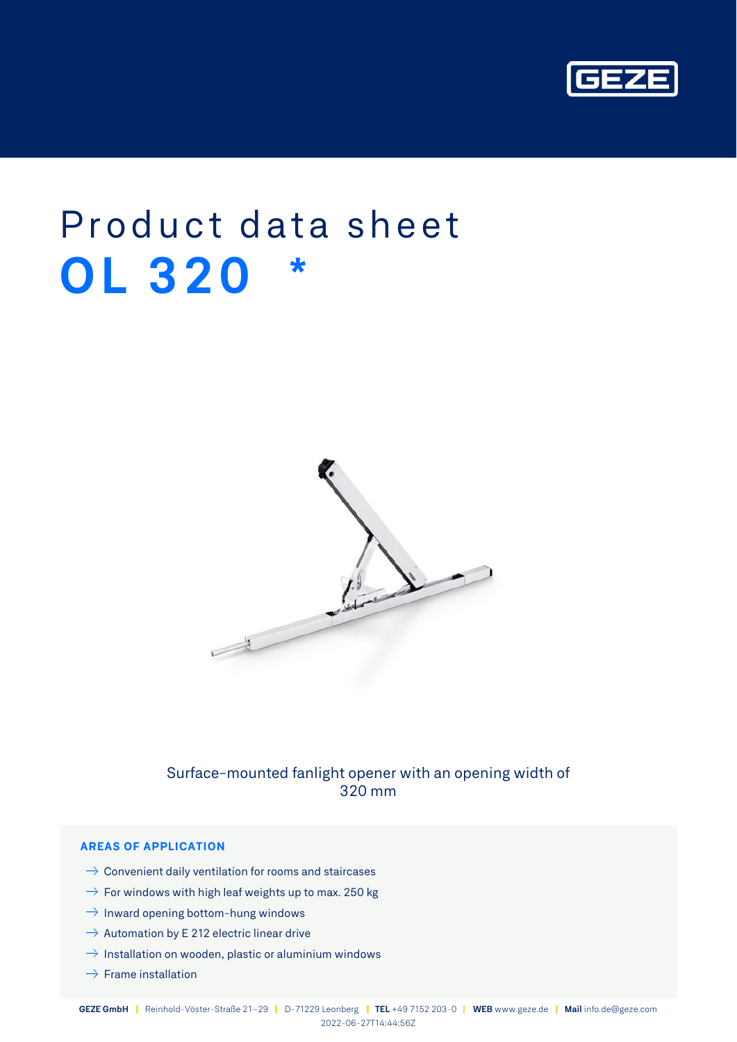

# Product data sheet **OL 320 \***



# Surface-mounted fanlight opener with an opening width of 320 mm

## **AREAS OF APPLICATION**

- $\rightarrow$  Convenient daily ventilation for rooms and staircases
- $\rightarrow$  For windows with high leaf weights up to max. 250 kg
- $\rightarrow$  Inward opening bottom-hung windows
- $\rightarrow$  Automation by E 212 electric linear drive
- $\rightarrow$  Installation on wooden, plastic or aluminium windows
- $\rightarrow$  Frame installation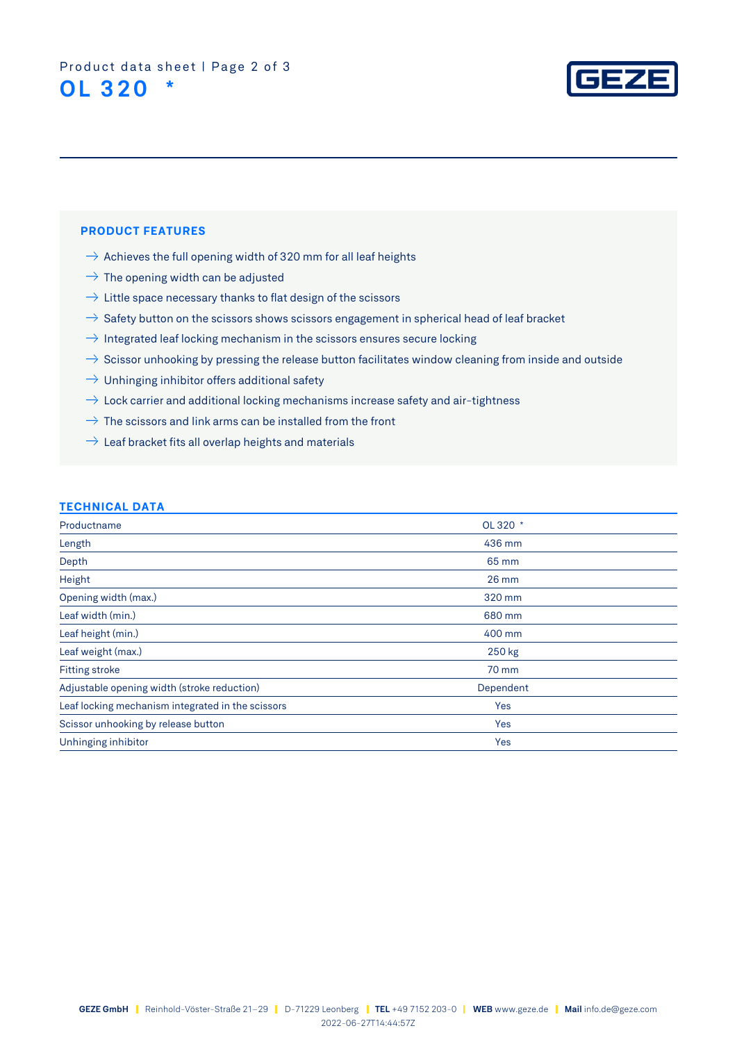

#### **PRODUCT FEATURES**

- $\rightarrow$  Achieves the full opening width of 320 mm for all leaf heights
- $\rightarrow$  The opening width can be adjusted
- $\rightarrow$  Little space necessary thanks to flat design of the scissors
- $\rightarrow$  Safety button on the scissors shows scissors engagement in spherical head of leaf bracket
- $\rightarrow$  Integrated leaf locking mechanism in the scissors ensures secure locking
- $\rightarrow$  Scissor unhooking by pressing the release button facilitates window cleaning from inside and outside
- $\rightarrow$  Unhinging inhibitor offers additional safety
- $\rightarrow$  Lock carrier and additional locking mechanisms increase safety and air-tightness
- $\rightarrow$  The scissors and link arms can be installed from the front
- $\rightarrow$  Leaf bracket fits all overlap heights and materials

#### **TECHNICAL DATA**

| Productname                                       | OL 320 *  |
|---------------------------------------------------|-----------|
| Length                                            | 436 mm    |
| Depth                                             | 65 mm     |
| Height                                            | $26$ mm   |
| Opening width (max.)                              | 320 mm    |
| Leaf width (min.)                                 | 680 mm    |
| Leaf height (min.)                                | 400 mm    |
| Leaf weight (max.)                                | 250 kg    |
| <b>Fitting stroke</b>                             | 70 mm     |
| Adjustable opening width (stroke reduction)       | Dependent |
| Leaf locking mechanism integrated in the scissors | Yes       |
| Scissor unhooking by release button               | Yes       |
| Unhinging inhibitor                               | Yes       |